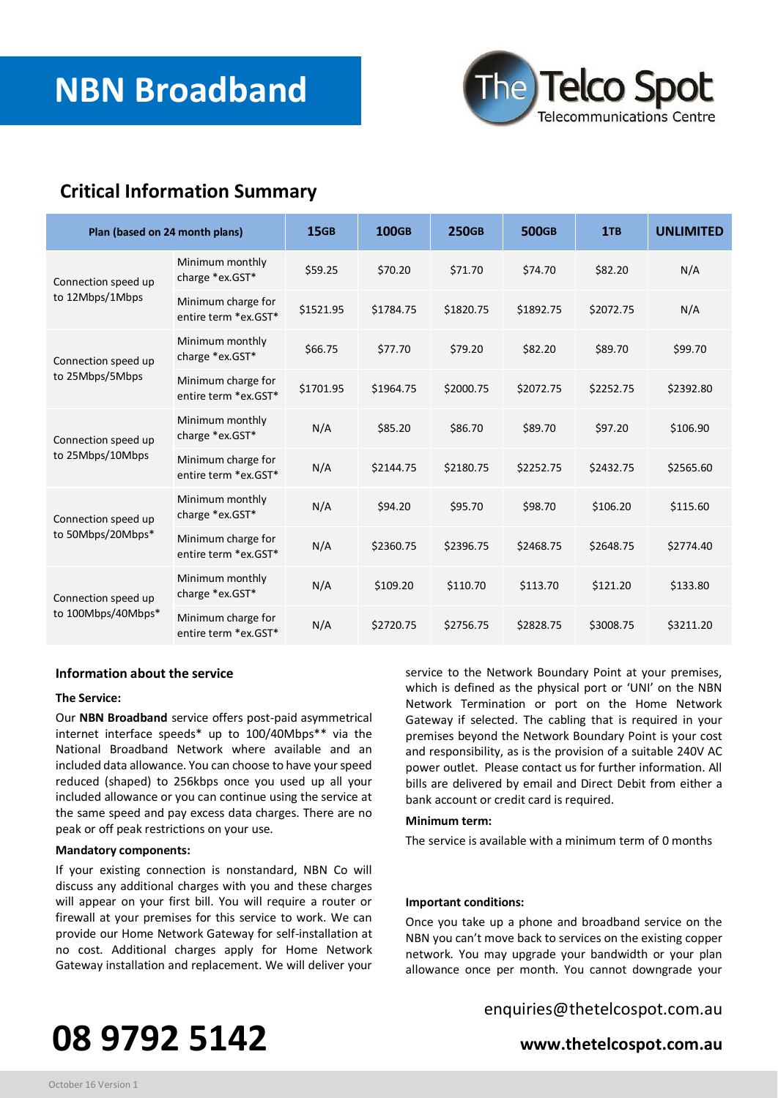

# **Critical Information Summary**

| Plan (based on 24 month plans)            |                                            | <b>15GB</b> | <b>100GB</b> | <b>250GB</b> | <b>500GB</b> | 1TB       | <b>UNLIMITED</b> |
|-------------------------------------------|--------------------------------------------|-------------|--------------|--------------|--------------|-----------|------------------|
| Connection speed up<br>to 12Mbps/1Mbps    | Minimum monthly<br>charge *ex.GST*         | \$59.25     | \$70.20      | \$71.70      | \$74.70      | \$82.20   | N/A              |
|                                           | Minimum charge for<br>entire term *ex.GST* | \$1521.95   | \$1784.75    | \$1820.75    | \$1892.75    | \$2072.75 | N/A              |
| Connection speed up<br>to 25Mbps/5Mbps    | Minimum monthly<br>charge *ex.GST*         | \$66.75     | \$77.70      | \$79.20      | \$82.20      | \$89.70   | \$99.70          |
|                                           | Minimum charge for<br>entire term *ex.GST* | \$1701.95   | \$1964.75    | \$2000.75    | \$2072.75    | \$2252.75 | \$2392.80        |
| Connection speed up<br>to 25Mbps/10Mbps   | Minimum monthly<br>charge *ex.GST*         | N/A         | \$85.20      | \$86.70      | \$89.70      | \$97.20   | \$106.90         |
|                                           | Minimum charge for<br>entire term *ex.GST* | N/A         | \$2144.75    | \$2180.75    | \$2252.75    | \$2432.75 | \$2565.60        |
| Connection speed up<br>to 50Mbps/20Mbps*  | Minimum monthly<br>charge *ex.GST*         | N/A         | \$94.20      | \$95.70      | \$98.70      | \$106.20  | \$115.60         |
|                                           | Minimum charge for<br>entire term *ex.GST* | N/A         | \$2360.75    | \$2396.75    | \$2468.75    | \$2648.75 | \$2774.40        |
| Connection speed up<br>to 100Mbps/40Mbps* | Minimum monthly<br>charge *ex.GST*         | N/A         | \$109.20     | \$110.70     | \$113.70     | \$121.20  | \$133.80         |
|                                           | Minimum charge for<br>entire term *ex.GST* | N/A         | \$2720.75    | \$2756.75    | \$2828.75    | \$3008.75 | \$3211.20        |

# **Information about the service**

### **The Service:**

Our **NBN Broadband** service offers post-paid asymmetrical internet interface speeds\* up to 100/40Mbps\*\* via the National Broadband Network where available and an included data allowance. You can choose to have your speed reduced (shaped) to 256kbps once you used up all your included allowance or you can continue using the service at the same speed and pay excess data charges. There are no peak or off peak restrictions on your use.

# **Mandatory components:**

If your existing connection is nonstandard, NBN Co will discuss any additional charges with you and these charges will appear on your first bill. You will require a router or firewall at your premises for this service to work. We can provide our Home Network Gateway for self-installation at no cost. Additional charges apply for Home Network Gateway installation and replacement. We will deliver your

service to the Network Boundary Point at your premises, which is defined as the physical port or 'UNI' on the NBN Network Termination or port on the Home Network Gateway if selected. The cabling that is required in your premises beyond the Network Boundary Point is your cost and responsibility, as is the provision of a suitable 240V AC power outlet. Please contact us for further information. All bills are delivered by email and Direct Debit from either a bank account or credit card is required.

#### **Minimum term:**

The service is available with a minimum term of 0 months

#### **Important conditions:**

Once you take up a phone and broadband service on the NBN you can't move back to services on the existing copper network. You may upgrade your bandwidth or your plan allowance once per month. You cannot downgrade your

# **08 9792 5142 www.thetelcospot.com.au**

enquiries@thetelcospot.com.au